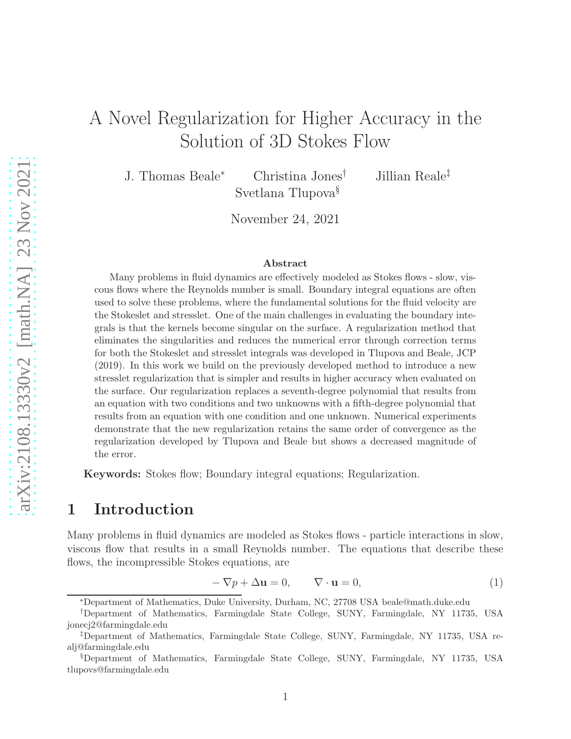# A Novel Regularization for Higher Accuracy in the Solution of 3D Stokes Flow

J. Thomas Beale<sup>∗</sup> Christina Jones† Jillian Reale‡ Svetlana Tlupova§

November 24, 2021

#### Abstract

Many problems in fluid dynamics are effectively modeled as Stokes flows - slow, viscous flows where the Reynolds number is small. Boundary integral equations are often used to solve these problems, where the fundamental solutions for the fluid velocity are the Stokeslet and stresslet. One of the main challenges in evaluating the boundary integrals is that the kernels become singular on the surface. A regularization method that eliminates the singularities and reduces the numerical error through correction terms for both the Stokeslet and stresslet integrals was developed in Tlupova and Beale, JCP (2019). In this work we build on the previously developed method to introduce a new stresslet regularization that is simpler and results in higher accuracy when evaluated on the surface. Our regularization replaces a seventh-degree polynomial that results from an equation with two conditions and two unknowns with a fifth-degree polynomial that results from an equation with one condition and one unknown. Numerical experiments demonstrate that the new regularization retains the same order of convergence as the regularization developed by Tlupova and Beale but shows a decreased magnitude of the error.

Keywords: Stokes flow; Boundary integral equations; Regularization.

## 1 Introduction

Many problems in fluid dynamics are modeled as Stokes flows - particle interactions in slow, viscous flow that results in a small Reynolds number. The equations that describe these flows, the incompressible Stokes equations, are

$$
-\nabla p + \Delta \mathbf{u} = 0, \qquad \nabla \cdot \mathbf{u} = 0,
$$
 (1)

<sup>∗</sup>Department of Mathematics, Duke University, Durham, NC, 27708 USA beale@math.duke.edu

<sup>†</sup>Department of Mathematics, Farmingdale State College, SUNY, Farmingdale, NY 11735, USA jonecj2@farmingdale.edu

<sup>‡</sup>Department of Mathematics, Farmingdale State College, SUNY, Farmingdale, NY 11735, USA realj@farmingdale.edu

<sup>§</sup>Department of Mathematics, Farmingdale State College, SUNY, Farmingdale, NY 11735, USA tlupovs@farmingdale.edu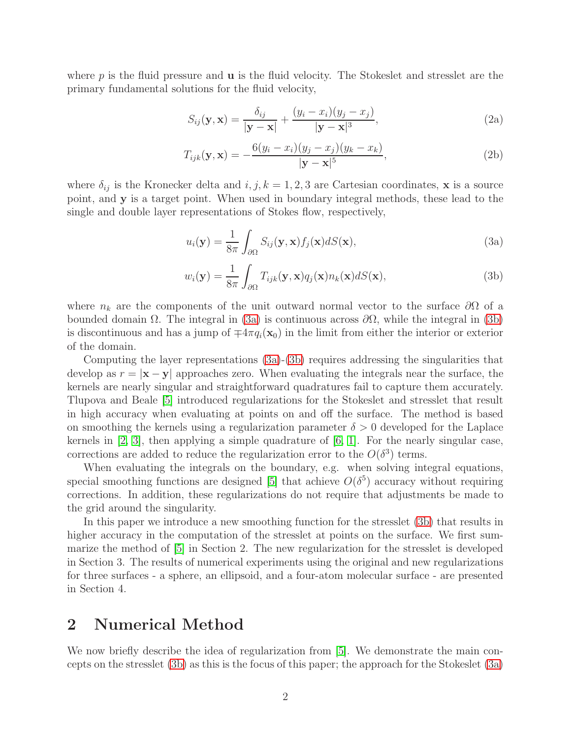where  $p$  is the fluid pressure and  $\bf{u}$  is the fluid velocity. The Stokeslet and stresslet are the primary fundamental solutions for the fluid velocity,

$$
S_{ij}(\mathbf{y}, \mathbf{x}) = \frac{\delta_{ij}}{|\mathbf{y} - \mathbf{x}|} + \frac{(y_i - x_i)(y_j - x_j)}{|\mathbf{y} - \mathbf{x}|^3},
$$
(2a)

$$
T_{ijk}(\mathbf{y}, \mathbf{x}) = -\frac{6(y_i - x_i)(y_j - x_j)(y_k - x_k)}{|\mathbf{y} - \mathbf{x}|^5},
$$
\n(2b)

where  $\delta_{ij}$  is the Kronecker delta and  $i, j, k = 1, 2, 3$  are Cartesian coordinates, x is a source point, and y is a target point. When used in boundary integral methods, these lead to the single and double layer representations of Stokes flow, respectively,

<span id="page-1-0"></span>
$$
u_i(\mathbf{y}) = \frac{1}{8\pi} \int_{\partial\Omega} S_{ij}(\mathbf{y}, \mathbf{x}) f_j(\mathbf{x}) dS(\mathbf{x}), \qquad (3a)
$$

<span id="page-1-1"></span>
$$
w_i(\mathbf{y}) = \frac{1}{8\pi} \int_{\partial\Omega} T_{ijk}(\mathbf{y}, \mathbf{x}) q_j(\mathbf{x}) n_k(\mathbf{x}) dS(\mathbf{x}), \tag{3b}
$$

where  $n_k$  are the components of the unit outward normal vector to the surface  $\partial\Omega$  of a bounded domain  $Ω$ . The integral in [\(3a\)](#page-1-0) is continuous across  $\partial Ω$ , while the integral in [\(3b\)](#page-1-1) is discontinuous and has a jump of  $\mp 4\pi q_i(\mathbf{x}_0)$  in the limit from either the interior or exterior of the domain.

Computing the layer representations [\(3a\)](#page-1-0)-[\(3b\)](#page-1-1) requires addressing the singularities that develop as  $r = |x - y|$  approaches zero. When evaluating the integrals near the surface, the kernels are nearly singular and straightforward quadratures fail to capture them accurately. Tlupova and Beale [\[5\]](#page-8-0) introduced regularizations for the Stokeslet and stresslet that result in high accuracy when evaluating at points on and off the surface. The method is based on smoothing the kernels using a regularization parameter  $\delta > 0$  developed for the Laplace kernels in  $[2, 3]$  $[2, 3]$ , then applying a simple quadrature of  $[6, 1]$  $[6, 1]$ . For the nearly singular case, corrections are added to reduce the regularization error to the  $O(\delta^3)$  terms.

When evaluating the integrals on the boundary, e.g. when solving integral equations, special smoothing functions are designed [\[5\]](#page-8-0) that achieve  $O(\delta^5)$  accuracy without requiring corrections. In addition, these regularizations do not require that adjustments be made to the grid around the singularity.

In this paper we introduce a new smoothing function for the stresslet [\(3b\)](#page-1-1) that results in higher accuracy in the computation of the stresslet at points on the surface. We first summarize the method of [\[5\]](#page-8-0) in Section 2. The new regularization for the stresslet is developed in Section 3. The results of numerical experiments using the original and new regularizations for three surfaces - a sphere, an ellipsoid, and a four-atom molecular surface - are presented in Section 4.

### 2 Numerical Method

We now briefly describe the idea of regularization from [\[5\]](#page-8-0). We demonstrate the main concepts on the stresslet [\(3b\)](#page-1-1) as this is the focus of this paper; the approach for the Stokeslet [\(3a\)](#page-1-0)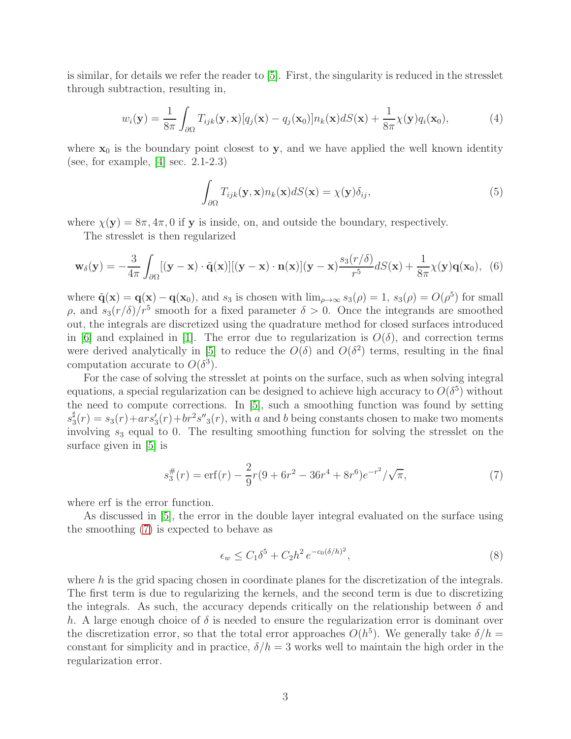is similar, for details we refer the reader to [\[5\]](#page-8-0). First, the singularity is reduced in the stresslet through subtraction, resulting in,

<span id="page-2-1"></span>
$$
w_i(\mathbf{y}) = \frac{1}{8\pi} \int_{\partial\Omega} T_{ijk}(\mathbf{y}, \mathbf{x}) [q_j(\mathbf{x}) - q_j(\mathbf{x}_0)] n_k(\mathbf{x}) dS(\mathbf{x}) + \frac{1}{8\pi} \chi(\mathbf{y}) q_i(\mathbf{x}_0), \tag{4}
$$

where  $x_0$  is the boundary point closest to y, and we have applied the well known identity (see, for example, [\[4\]](#page-8-2) sec. 2.1-2.3)

$$
\int_{\partial\Omega} T_{ijk}(\mathbf{y}, \mathbf{x}) n_k(\mathbf{x}) dS(\mathbf{x}) = \chi(\mathbf{y}) \delta_{ij},
$$
\n(5)

where  $\chi(y) = 8\pi, 4\pi, 0$  if y is inside, on, and outside the boundary, respectively.

The stresslet is then regularized

$$
\mathbf{w}_{\delta}(\mathbf{y}) = -\frac{3}{4\pi} \int_{\partial\Omega} [(\mathbf{y}-\mathbf{x}) \cdot \tilde{\mathbf{q}}(\mathbf{x})] [(\mathbf{y}-\mathbf{x}) \cdot \mathbf{n}(\mathbf{x})] (\mathbf{y}-\mathbf{x}) \frac{s_3(r/\delta)}{r^5} dS(\mathbf{x}) + \frac{1}{8\pi} \chi(\mathbf{y}) \mathbf{q}(\mathbf{x}_0), \tag{6}
$$

where  $\tilde{\mathbf{q}}(\mathbf{x}) = \mathbf{q}(\mathbf{x}) - \mathbf{q}(\mathbf{x}_0)$ , and  $s_3$  is chosen with  $\lim_{\rho \to \infty} s_3(\rho) = 1$ ,  $s_3(\rho) = O(\rho^5)$  for small  $ρ$ , and  $s_3(r/\delta)/r^5$  smooth for a fixed parameter  $\delta > 0$ . Once the integrands are smoothed out, the integrals are discretized using the quadrature method for closed surfaces introduced in [\[6\]](#page-8-1) and explained in [\[1\]](#page-7-2). The error due to regularization is  $O(\delta)$ , and correction terms were derived analytically in [\[5\]](#page-8-0) to reduce the  $O(\delta)$  and  $O(\delta^2)$  terms, resulting in the final computation accurate to  $O(\delta^3)$ .

For the case of solving the stresslet at points on the surface, such as when solving integral equations, a special regularization can be designed to achieve high accuracy to  $O(\delta^5)$  without the need to compute corrections. In [\[5\]](#page-8-0), such a smoothing function was found by setting  $s_3^\sharp$  $\frac{1}{3}(r) = s_3(r) + ar s'_3(r) + br^2 s''_3(r)$ , with a and b being constants chosen to make two moments involving  $s_3$  equal to 0. The resulting smoothing function for solving the stresslet on the surface given in [\[5\]](#page-8-0) is

<span id="page-2-0"></span>
$$
s_3^{\#}(r) = \text{erf}(r) - \frac{2}{9}r(9 + 6r^2 - 36r^4 + 8r^6)e^{-r^2}/\sqrt{\pi},\tag{7}
$$

where erf is the error function.

As discussed in [\[5\]](#page-8-0), the error in the double layer integral evaluated on the surface using the smoothing [\(7\)](#page-2-0) is expected to behave as

<span id="page-2-2"></span>
$$
\epsilon_w \le C_1 \delta^5 + C_2 h^2 \, e^{-c_0 (\delta/h)^2},\tag{8}
$$

where h is the grid spacing chosen in coordinate planes for the discretization of the integrals. The first term is due to regularizing the kernels, and the second term is due to discretizing the integrals. As such, the accuracy depends critically on the relationship between  $\delta$  and h. A large enough choice of  $\delta$  is needed to ensure the regularization error is dominant over the discretization error, so that the total error approaches  $O(h^5)$ . We generally take  $\delta/h =$ constant for simplicity and in practice,  $\delta/h = 3$  works well to maintain the high order in the regularization error.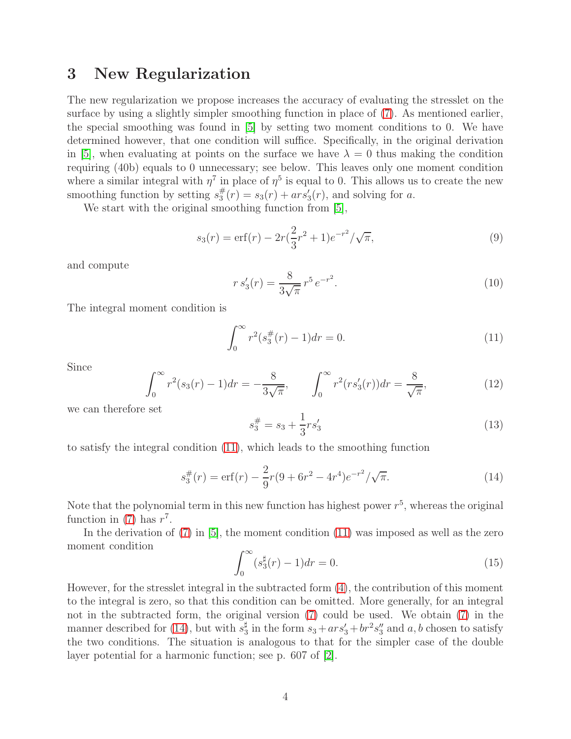### 3 New Regularization

The new regularization we propose increases the accuracy of evaluating the stresslet on the surface by using a slightly simpler smoothing function in place of [\(7\)](#page-2-0). As mentioned earlier, the special smoothing was found in [\[5\]](#page-8-0) by setting two moment conditions to 0. We have determined however, that one condition will suffice. Specifically, in the original derivation in [\[5\]](#page-8-0), when evaluating at points on the surface we have  $\lambda = 0$  thus making the condition requiring (40b) equals to 0 unnecessary; see below. This leaves only one moment condition where a similar integral with  $\eta^7$  in place of  $\eta^5$  is equal to 0. This allows us to create the new smoothing function by setting  $s_3^{\#}$  $x_3^{\#}(r) = s_3(r) + ar s'_3(r)$ , and solving for a.

We start with the original smoothing function from [\[5\]](#page-8-0),

$$
s_3(r) = \text{erf}(r) - 2r(\frac{2}{3}r^2 + 1)e^{-r^2}/\sqrt{\pi},\tag{9}
$$

and compute

$$
r s_3'(r) = \frac{8}{3\sqrt{\pi}} r^5 e^{-r^2}.
$$
\n(10)

The integral moment condition is

<span id="page-3-0"></span>
$$
\int_0^\infty r^2(s_3^\#(r) - 1)dr = 0.
$$
\n(11)

Since

$$
\int_0^\infty r^2(s_3(r) - 1) dr = -\frac{8}{3\sqrt{\pi}}, \qquad \int_0^\infty r^2(rs_3'(r)) dr = \frac{8}{\sqrt{\pi}}, \tag{12}
$$

we can therefore set

$$
s_3^{\#} = s_3 + \frac{1}{3}r s_3' \tag{13}
$$

to satisfy the integral condition [\(11\)](#page-3-0), which leads to the smoothing function

<span id="page-3-1"></span>
$$
s_3^{\#}(r) = \text{erf}(r) - \frac{2}{9}r(9 + 6r^2 - 4r^4)e^{-r^2}/\sqrt{\pi}.
$$
 (14)

Note that the polynomial term in this new function has highest power  $r^5$ , whereas the original function in [\(7\)](#page-2-0) has  $r^7$ .

In the derivation of  $(7)$  in  $[5]$ , the moment condition  $(11)$  was imposed as well as the zero moment condition

$$
\int_0^\infty (s_3^{\sharp}(r) - 1) dr = 0.
$$
 (15)

However, for the stresslet integral in the subtracted form [\(4\)](#page-2-1), the contribution of this moment to the integral is zero, so that this condition can be omitted. More generally, for an integral not in the subtracted form, the original version [\(7\)](#page-2-0) could be used. We obtain [\(7\)](#page-2-0) in the manner described for [\(14\)](#page-3-1), but with  $s_3^{\sharp}$  $\frac{1}{3}$  in the form  $s_3 + ar s_3' + br^2 s_3''$  $a<sub>3</sub>$  and  $a, b$  chosen to satisfy the two conditions. The situation is analogous to that for the simpler case of the double layer potential for a harmonic function; see p. 607 of [\[2\]](#page-7-0).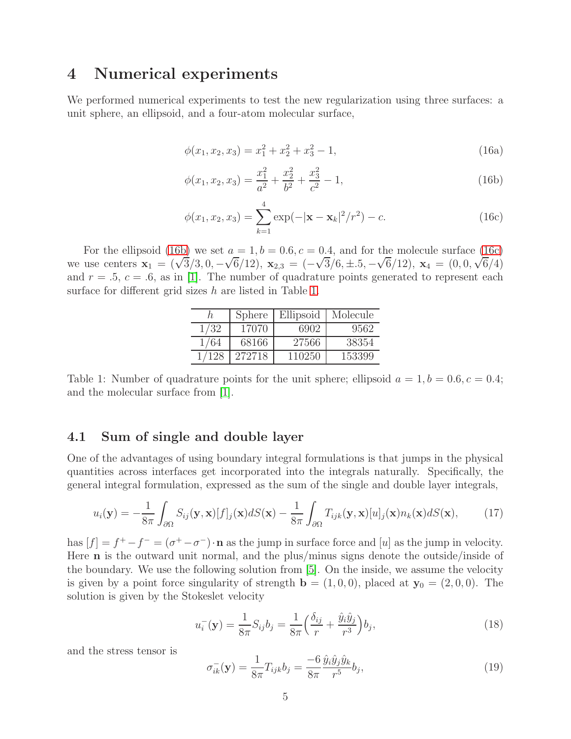## 4 Numerical experiments

We performed numerical experiments to test the new regularization using three surfaces: a unit sphere, an ellipsoid, and a four-atom molecular surface,

$$
\phi(x_1, x_2, x_3) = x_1^2 + x_2^2 + x_3^2 - 1,\tag{16a}
$$

<span id="page-4-0"></span>
$$
\phi(x_1, x_2, x_3) = \frac{x_1^2}{a^2} + \frac{x_2^2}{b^2} + \frac{x_3^2}{c^2} - 1,\tag{16b}
$$

<span id="page-4-1"></span>
$$
\phi(x_1, x_2, x_3) = \sum_{k=1}^{4} \exp(-|\mathbf{x} - \mathbf{x}_k|^2/r^2) - c.
$$
 (16c)

For the ellipsoid [\(16b\)](#page-4-0) we set  $a = 1, b = 0.6, c = 0.4$ , and for the molecule surface [\(16c\)](#page-4-1) we use centers  $\mathbf{x}_1 = (\sqrt{3}/3, 0, -\sqrt{6}/12), \mathbf{x}_{2,3} = (-\sqrt{3}/6, \pm .5, -\sqrt{6}/12), \mathbf{x}_4 = (0, 0, \sqrt{6}/4)$ and  $r = .5$ ,  $c = .6$ , as in [\[1\]](#page-7-2). The number of quadrature points generated to represent each surface for different grid sizes h are listed in Table [1.](#page-4-2)

|      | Sphere | Ellipsoid | Molecule |
|------|--------|-----------|----------|
| 1/32 | 17070  | 6902      | 9562     |
| 1/64 | 68166  | 27566     | 38354    |
|      | 272718 | 110250    | 153399   |

<span id="page-4-2"></span>Table 1: Number of quadrature points for the unit sphere; ellipsoid  $a = 1, b = 0.6, c = 0.4;$ and the molecular surface from [\[1\]](#page-7-2).

### 4.1 Sum of single and double layer

One of the advantages of using boundary integral formulations is that jumps in the physical quantities across interfaces get incorporated into the integrals naturally. Specifically, the general integral formulation, expressed as the sum of the single and double layer integrals,

$$
u_i(\mathbf{y}) = -\frac{1}{8\pi} \int_{\partial\Omega} S_{ij}(\mathbf{y}, \mathbf{x}) [f]_j(\mathbf{x}) dS(\mathbf{x}) - \frac{1}{8\pi} \int_{\partial\Omega} T_{ijk}(\mathbf{y}, \mathbf{x}) [u]_j(\mathbf{x}) n_k(\mathbf{x}) dS(\mathbf{x}), \tag{17}
$$

has  $[f] = f^+ - f^- = (\sigma^+ - \sigma^-) \cdot \mathbf{n}$  as the jump in surface force and [u] as the jump in velocity. Here n is the outward unit normal, and the plus/minus signs denote the outside/inside of the boundary. We use the following solution from [\[5\]](#page-8-0). On the inside, we assume the velocity is given by a point force singularity of strength  $\mathbf{b} = (1, 0, 0)$ , placed at  $\mathbf{y}_0 = (2, 0, 0)$ . The solution is given by the Stokeslet velocity

<span id="page-4-3"></span>
$$
u_i^-(\mathbf{y}) = \frac{1}{8\pi} S_{ij} b_j = \frac{1}{8\pi} \left( \frac{\delta_{ij}}{r} + \frac{\hat{y}_i \hat{y}_j}{r^3} \right) b_j,\tag{18}
$$

and the stress tensor is

$$
\sigma_{ik}^{-}(\mathbf{y}) = \frac{1}{8\pi} T_{ijk} b_j = \frac{-6}{8\pi} \frac{\hat{y}_i \hat{y}_j \hat{y}_k}{r^5} b_j,
$$
\n(19)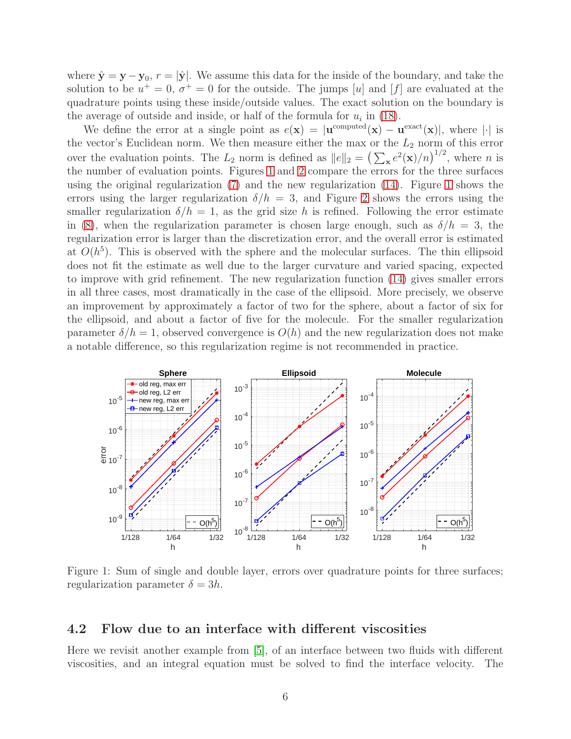where  $\hat{\mathbf{y}} = \mathbf{y} - \mathbf{y}_0$ ,  $r = |\hat{\mathbf{y}}|$ . We assume this data for the inside of the boundary, and take the solution to be  $u^+=0$ ,  $\sigma^+=0$  for the outside. The jumps [u] and [f] are evaluated at the quadrature points using these inside/outside values. The exact solution on the boundary is the average of outside and inside, or half of the formula for  $u_i$  in [\(18\)](#page-4-3).

We define the error at a single point as  $e(\mathbf{x}) = |\mathbf{u}^{\text{computed}}(\mathbf{x}) - \mathbf{u}^{\text{exact}}(\mathbf{x})|$ , where || is the vector's Euclidean norm. We then measure either the max or the  $L_2$  norm of this error over the evaluation points. The  $L_2$  norm is defined as  $||e||_2 = (\sum_{\mathbf{x}} e^2(\mathbf{x})/n)^{1/2}$ , where n is the number of evaluation points. Figures [1](#page-5-0) and [2](#page-6-0) compare the errors for the three surfaces using the original regularization [\(7\)](#page-2-0) and the new regularization [\(14\)](#page-3-1). Figure [1](#page-5-0) shows the errors using the larger regularization  $\delta/h = 3$ , and Figure [2](#page-6-0) shows the errors using the smaller regularization  $\delta/h = 1$ , as the grid size h is refined. Following the error estimate in [\(8\)](#page-2-2), when the regularization parameter is chosen large enough, such as  $\delta/h = 3$ , the regularization error is larger than the discretization error, and the overall error is estimated at  $O(h^5)$ . This is observed with the sphere and the molecular surfaces. The thin ellipsoid does not fit the estimate as well due to the larger curvature and varied spacing, expected to improve with grid refinement. The new regularization function [\(14\)](#page-3-1) gives smaller errors in all three cases, most dramatically in the case of the ellipsoid. More precisely, we observe an improvement by approximately a factor of two for the sphere, about a factor of six for the ellipsoid, and about a factor of five for the molecule. For the smaller regularization parameter  $\delta/h = 1$ , observed convergence is  $O(h)$  and the new regularization does not make a notable difference, so this regularization regime is not recommended in practice.



<span id="page-5-0"></span>Figure 1: Sum of single and double layer, errors over quadrature points for three surfaces; regularization parameter  $\delta = 3h$ .

#### 4.2 Flow due to an interface with different viscosities

Here we revisit another example from [\[5\]](#page-8-0), of an interface between two fluids with different viscosities, and an integral equation must be solved to find the interface velocity. The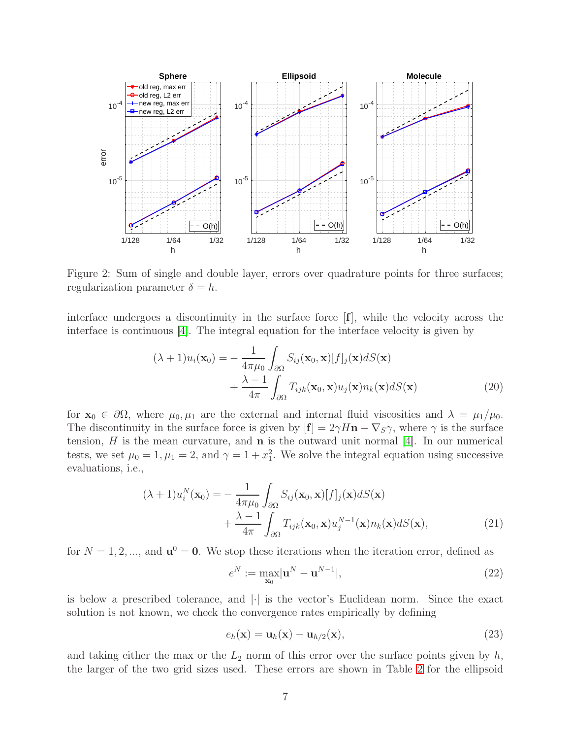

<span id="page-6-0"></span>Figure 2: Sum of single and double layer, errors over quadrature points for three surfaces; regularization parameter  $\delta = h$ .

interface undergoes a discontinuity in the surface force [f], while the velocity across the interface is continuous [\[4\]](#page-8-2). The integral equation for the interface velocity is given by

$$
(\lambda + 1)u_i(\mathbf{x}_0) = -\frac{1}{4\pi\mu_0} \int_{\partial\Omega} S_{ij}(\mathbf{x}_0, \mathbf{x}) [f]_j(\mathbf{x}) dS(\mathbf{x}) + \frac{\lambda - 1}{4\pi} \int_{\partial\Omega} T_{ijk}(\mathbf{x}_0, \mathbf{x}) u_j(\mathbf{x}) n_k(\mathbf{x}) dS(\mathbf{x})
$$
(20)

for  $\mathbf{x}_0 \in \partial\Omega$ , where  $\mu_0, \mu_1$  are the external and internal fluid viscosities and  $\lambda = \mu_1/\mu_0$ . The discontinuity in the surface force is given by  $[f] = 2\gamma H \mathbf{n} - \nabla_S \gamma$ , where  $\gamma$  is the surface tension,  $H$  is the mean curvature, and  $\bf{n}$  is the outward unit normal [\[4\]](#page-8-2). In our numerical tests, we set  $\mu_0 = 1, \mu_1 = 2$ , and  $\gamma = 1 + x_1^2$ . We solve the integral equation using successive evaluations, i.e.,

$$
(\lambda + 1)u_i^N(\mathbf{x}_0) = -\frac{1}{4\pi\mu_0} \int_{\partial\Omega} S_{ij}(\mathbf{x}_0, \mathbf{x}) [f]_j(\mathbf{x}) dS(\mathbf{x}) + \frac{\lambda - 1}{4\pi} \int_{\partial\Omega} T_{ijk}(\mathbf{x}_0, \mathbf{x}) u_j^{N-1}(\mathbf{x}) n_k(\mathbf{x}) dS(\mathbf{x}),
$$
\n(21)

for  $N = 1, 2, \dots$ , and  $\mathbf{u}^0 = \mathbf{0}$ . We stop these iterations when the iteration error, defined as

<span id="page-6-2"></span><span id="page-6-1"></span>
$$
e^N := \max_{\mathbf{x}_0} |\mathbf{u}^N - \mathbf{u}^{N-1}|,\tag{22}
$$

is below a prescribed tolerance, and  $|\cdot|$  is the vector's Euclidean norm. Since the exact solution is not known, we check the convergence rates empirically by defining

<span id="page-6-3"></span>
$$
e_h(\mathbf{x}) = \mathbf{u}_h(\mathbf{x}) - \mathbf{u}_{h/2}(\mathbf{x}),
$$
\n(23)

and taking either the max or the  $L_2$  norm of this error over the surface points given by  $h$ , the larger of the two grid sizes used. These errors are shown in Table [2](#page-7-3) for the ellipsoid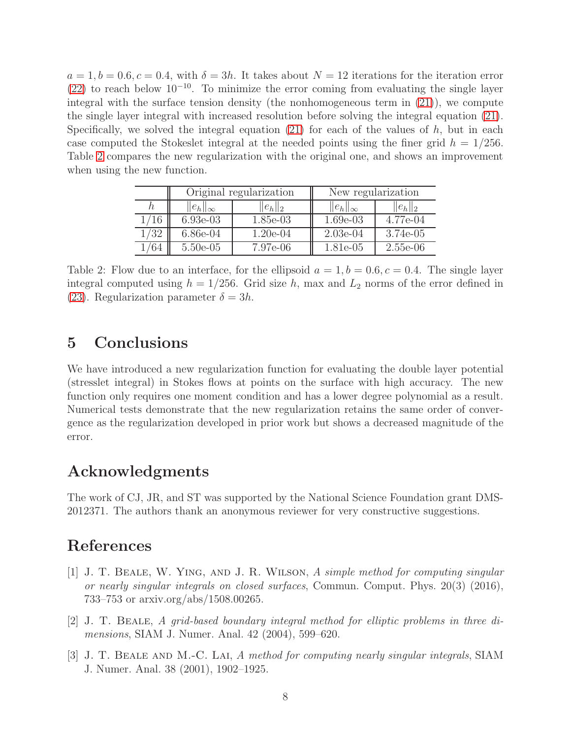$a = 1, b = 0.6, c = 0.4$ , with  $\delta = 3h$ . It takes about  $N = 12$  iterations for the iteration error [\(22\)](#page-6-1) to reach below  $10^{-10}$ . To minimize the error coming from evaluating the single layer integral with the surface tension density (the nonhomogeneous term in [\(21\)](#page-6-2)), we compute the single layer integral with increased resolution before solving the integral equation [\(21\)](#page-6-2). Specifically, we solved the integral equation  $(21)$  for each of the values of h, but in each case computed the Stokeslet integral at the needed points using the finer grid  $h = 1/256$ . Table [2](#page-7-3) compares the new regularization with the original one, and shows an improvement when using the new function.

|     | Original regularization |             | New regularization |             |
|-----|-------------------------|-------------|--------------------|-------------|
|     | $  e_h  _{\infty}$      | $  e_h  _2$ | $  e_h  _{\infty}$ | $  e_h  _2$ |
| /16 | $6.93e-03$              | 1.85e-03    | $1.69e-03$         | 4.77e-04    |
| /32 | $6.86e-04$              | $1.20e-04$  | $2.03e-04$         | 3.74e-05    |
|     | $5.50e-05$              | 7.97e-06    | 1.81e-05           | 2.55e-06    |

<span id="page-7-3"></span>Table 2: Flow due to an interface, for the ellipsoid  $a = 1, b = 0.6, c = 0.4$ . The single layer integral computed using  $h = 1/256$ . Grid size h, max and  $L_2$  norms of the error defined in [\(23\)](#page-6-3). Regularization parameter  $\delta = 3h$ .

### 5 Conclusions

We have introduced a new regularization function for evaluating the double layer potential (stresslet integral) in Stokes flows at points on the surface with high accuracy. The new function only requires one moment condition and has a lower degree polynomial as a result. Numerical tests demonstrate that the new regularization retains the same order of convergence as the regularization developed in prior work but shows a decreased magnitude of the error.

### Acknowledgments

The work of CJ, JR, and ST was supported by the National Science Foundation grant DMS-2012371. The authors thank an anonymous reviewer for very constructive suggestions.

### <span id="page-7-2"></span>References

- [1] J. T. Beale, W. Ying, and J. R. Wilson, A simple method for computing singular or nearly singular integrals on closed surfaces, Commun. Comput. Phys. 20(3) (2016), 733–753 or arxiv.org/abs/1508.00265.
- <span id="page-7-0"></span>[2] J. T. Beale, A grid-based boundary integral method for elliptic problems in three dimensions, SIAM J. Numer. Anal. 42 (2004), 599–620.
- <span id="page-7-1"></span>[3] J. T. Beale and M.-C. Lai, A method for computing nearly singular integrals, SIAM J. Numer. Anal. 38 (2001), 1902–1925.